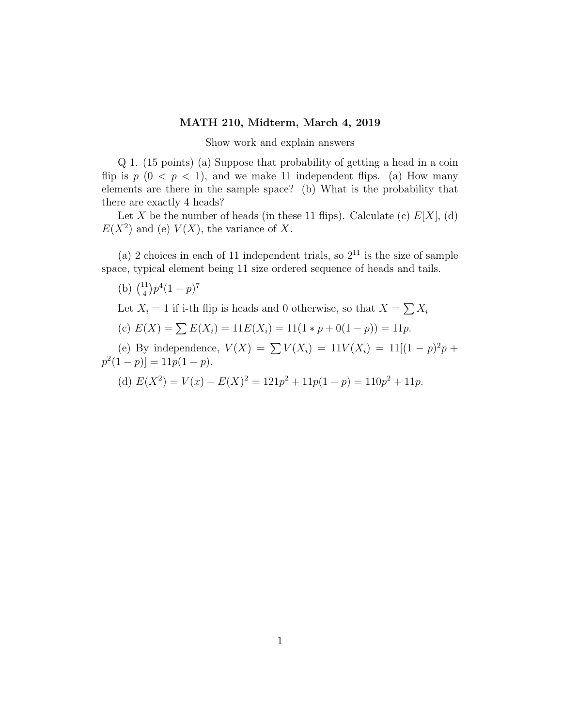## MATH 210, Midterm, March 4, 2019

Show work and explain answers

Q 1. (15 points) (a) Suppose that probability of getting a head in a coin flip is  $p(0 < p < 1)$ , and we make 11 independent flips. (a) How many elements are there in the sample space? (b) What is the probability that there are exactly 4 heads?

Let X be the number of heads (in these 11 flips). Calculate (c)  $E[X]$ , (d)  $E(X^2)$  and (e)  $V(X)$ , the variance of X.

(a) 2 choices in each of 11 independent trials, so  $2^{11}$  is the size of sample space, typical element being 11 size ordered sequence of heads and tails.

(b)  $\binom{11}{4}$  $\binom{11}{4}p^4(1-p)^7$ 

Let  $X_i = 1$  if i-th flip is heads and 0 otherwise, so that  $X = \sum X_i$ 

(c)  $E(X) = \sum E(X_i) = 11E(X_i) = 11(1*p+0(1-p)) = 11p.$ 

(e) By independence,  $V(X) = \sum V(X_i) = 11V(X_i) = 11[(1-p)^2p +$  $p^2(1-p)]=11p(1-p).$ 

(d) 
$$
E(X^2) = V(x) + E(X)^2 = 121p^2 + 11p(1 - p) = 110p^2 + 11p.
$$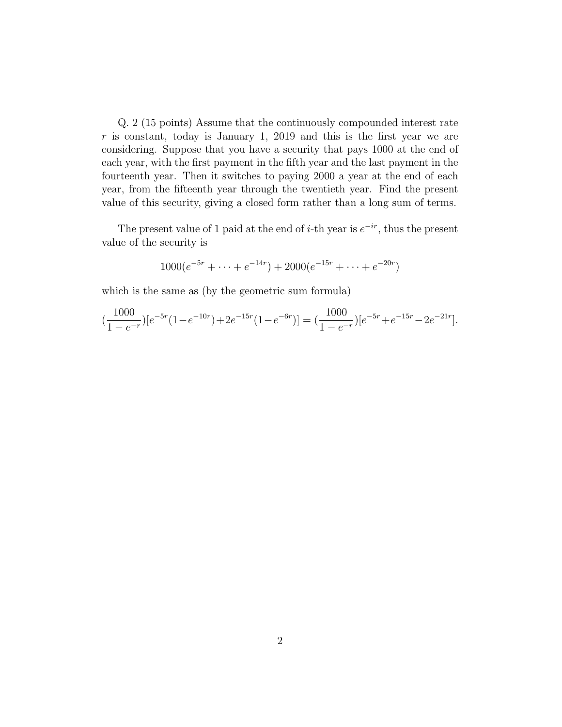Q. 2 (15 points) Assume that the continuously compounded interest rate  $r$  is constant, today is January 1, 2019 and this is the first year we are considering. Suppose that you have a security that pays 1000 at the end of each year, with the first payment in the fifth year and the last payment in the fourteenth year. Then it switches to paying 2000 a year at the end of each year, from the fifteenth year through the twentieth year. Find the present value of this security, giving a closed form rather than a long sum of terms.

The present value of 1 paid at the end of *i*-th year is  $e^{-ir}$ , thus the present value of the security is

$$
1000(e^{-5r} + \dots + e^{-14r}) + 2000(e^{-15r} + \dots + e^{-20r})
$$

which is the same as (by the geometric sum formula)

$$
\left(\frac{1000}{1 - e^{-r}}\right)[e^{-5r}(1 - e^{-10r}) + 2e^{-15r}(1 - e^{-6r})] = \left(\frac{1000}{1 - e^{-r}}\right)[e^{-5r} + e^{-15r} - 2e^{-21r}].
$$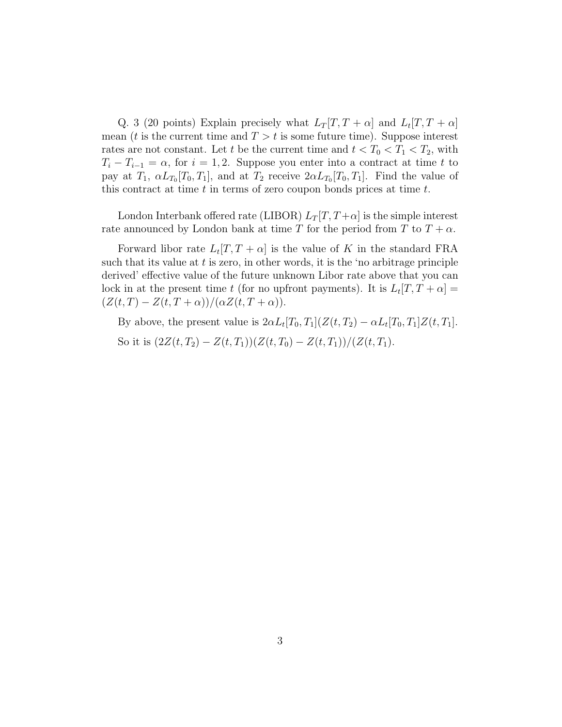Q. 3 (20 points) Explain precisely what  $L_T[T, T + \alpha]$  and  $L_t[T, T + \alpha]$ mean (t is the current time and  $T > t$  is some future time). Suppose interest rates are not constant. Let t be the current time and  $t < T_0 < T_1 < T_2$ , with  $T_i - T_{i-1} = \alpha$ , for  $i = 1, 2$ . Suppose you enter into a contract at time t to pay at  $T_1$ ,  $\alpha L_{T_0}[T_0,T_1]$ , and at  $T_2$  receive  $2\alpha L_{T_0}[T_0,T_1]$ . Find the value of this contract at time  $t$  in terms of zero coupon bonds prices at time  $t$ .

London Interbank offered rate (LIBOR)  $L_T[T, T+\alpha]$  is the simple interest rate announced by London bank at time T for the period from T to  $T + \alpha$ .

Forward libor rate  $L_t[T, T + \alpha]$  is the value of K in the standard FRA such that its value at  $t$  is zero, in other words, it is the 'no arbitrage principle derived' effective value of the future unknown Libor rate above that you can lock in at the present time t (for no upfront payments). It is  $L_t[T, T + \alpha] =$  $(Z(t,T) - Z(t,T+\alpha))/(\alpha Z(t,T+\alpha)).$ 

By above, the present value is  $2\alpha L_t[T_0,T_1](Z(t,T_2) - \alpha L_t[T_0,T_1]Z(t,T_1].$ So it is  $(2Z(t, T_2) - Z(t, T_1))(Z(t, T_0) - Z(t, T_1))/(Z(t, T_1)).$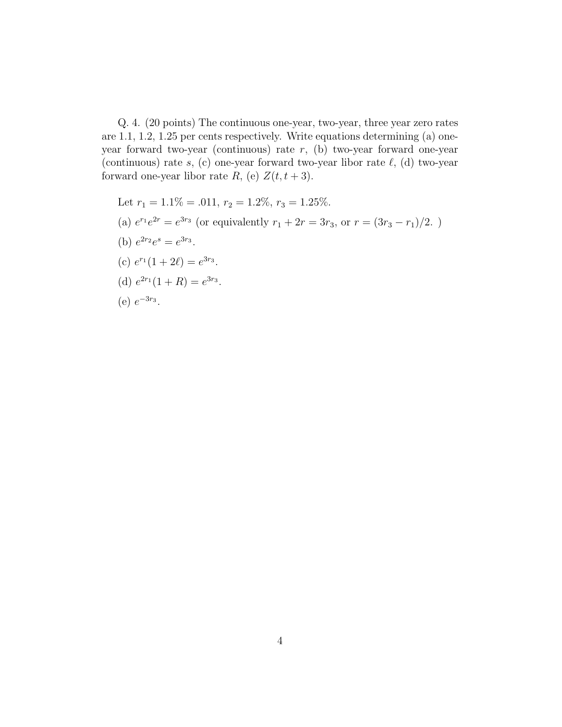Q. 4. (20 points) The continuous one-year, two-year, three year zero rates are 1.1, 1.2, 1.25 per cents respectively. Write equations determining (a) oneyear forward two-year (continuous) rate r, (b) two-year forward one-year (continuous) rate  $s$ , (c) one-year forward two-year libor rate  $\ell$ , (d) two-year forward one-year libor rate R, (e)  $Z(t, t + 3)$ .

Let 
$$
r_1 = 1.1\% = .011
$$
,  $r_2 = 1.2\%$ ,  $r_3 = 1.25\%$ .  
\n(a)  $e^{r_1}e^{2r} = e^{3r_3}$  (or equivalently  $r_1 + 2r = 3r_3$ , or  $r = (3r_3 - r_1)/2$ .)  
\n(b)  $e^{2r_2}e^s = e^{3r_3}$ .  
\n(c)  $e^{r_1}(1 + 2\ell) = e^{3r_3}$ .  
\n(d)  $e^{2r_1}(1 + R) = e^{3r_3}$ .  
\n(e)  $e^{-3r_3}$ .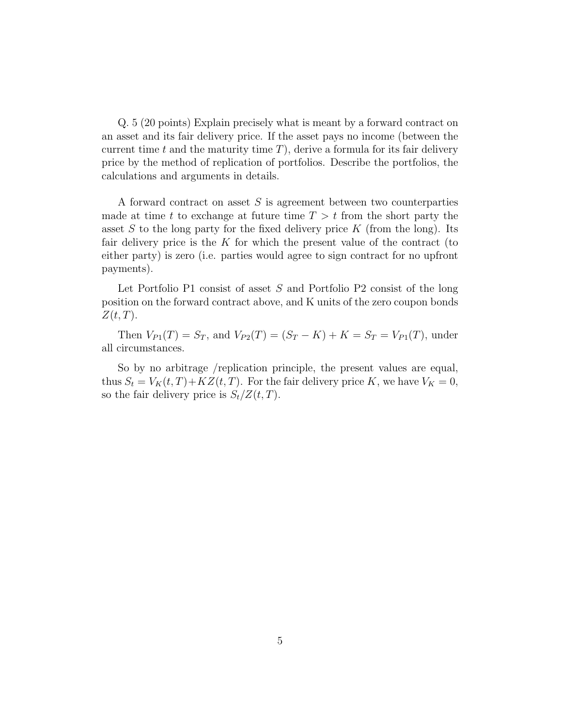Q. 5 (20 points) Explain precisely what is meant by a forward contract on an asset and its fair delivery price. If the asset pays no income (between the current time t and the maturity time  $T$ ), derive a formula for its fair delivery price by the method of replication of portfolios. Describe the portfolios, the calculations and arguments in details.

A forward contract on asset  $S$  is agreement between two counterparties made at time t to exchange at future time  $T > t$  from the short party the asset S to the long party for the fixed delivery price K (from the long). Its fair delivery price is the  $K$  for which the present value of the contract (to either party) is zero (i.e. parties would agree to sign contract for no upfront payments).

Let Portfolio P1 consist of asset S and Portfolio P2 consist of the long position on the forward contract above, and K units of the zero coupon bonds  $Z(t,T)$ .

Then  $V_{P1}(T) = S_T$ , and  $V_{P2}(T) = (S_T - K) + K = S_T = V_{P1}(T)$ , under all circumstances.

So by no arbitrage /replication principle, the present values are equal, thus  $S_t = V_K(t, T) + KZ(t, T)$ . For the fair delivery price K, we have  $V_K = 0$ , so the fair delivery price is  $S_t/Z(t,T)$ .